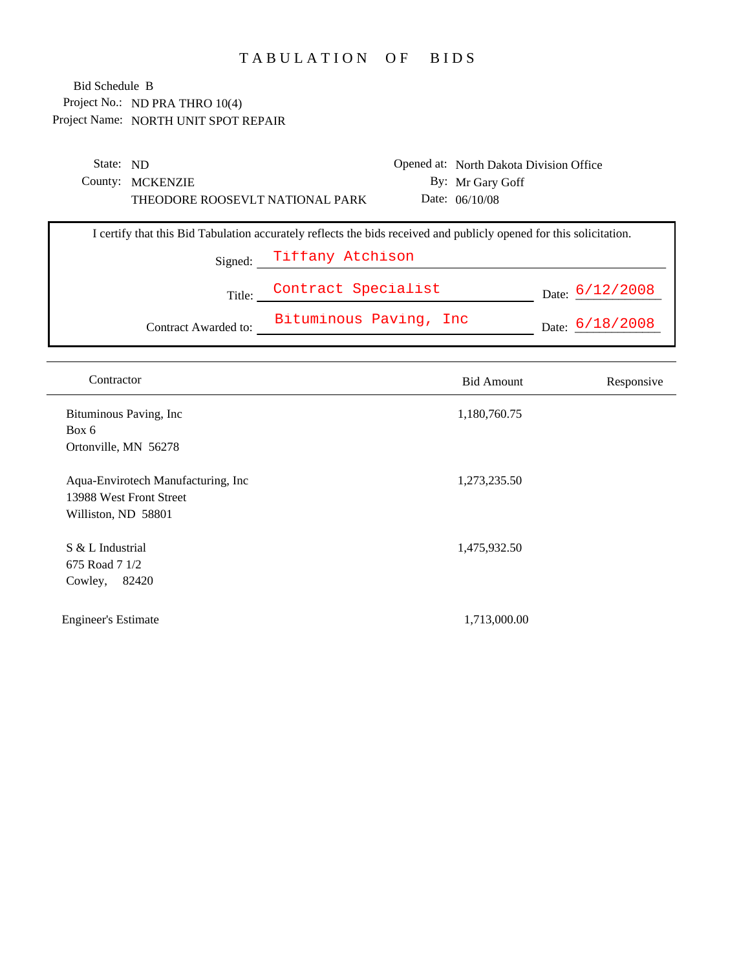## TABULATION OF BIDS

| State: ND |                                                                                                                     |                          | Opened at: North Dakota Division Office |                   |
|-----------|---------------------------------------------------------------------------------------------------------------------|--------------------------|-----------------------------------------|-------------------|
|           | County: MCKENZIE                                                                                                    |                          | By: Mr Gary Goff                        |                   |
|           | THEODORE ROOSEVLT NATIONAL PARK                                                                                     |                          | Date: $06/10/08$                        |                   |
|           | I certify that this Bid Tabulation accurately reflects the bids received and publicly opened for this solicitation. |                          |                                         |                   |
|           |                                                                                                                     | Signed: Tiffany Atchison |                                         |                   |
|           | Title:                                                                                                              | Contract Specialist      |                                         | Date: $6/12/2008$ |
|           | Contract Awarded to:                                                                                                | Bituminous Paving, Inc   |                                         | Date: $6/18/2008$ |

| Contract Awarded to: | Bituminous Paving, Inc |  | $_{\rm Date:}$ 6/18/2008 |
|----------------------|------------------------|--|--------------------------|
|                      |                        |  |                          |

| Contractor                                                                           | <b>Bid Amount</b> | Responsive |
|--------------------------------------------------------------------------------------|-------------------|------------|
| Bituminous Paving, Inc<br>Box 6<br>Ortonville, MN 56278                              | 1,180,760.75      |            |
| Aqua-Envirotech Manufacturing, Inc<br>13988 West Front Street<br>Williston, ND 58801 | 1,273,235.50      |            |
| S & L Industrial<br>675 Road 7 1/2<br>82420<br>Cowley,                               | 1,475,932.50      |            |
| <b>Engineer's Estimate</b>                                                           | 1,713,000.00      |            |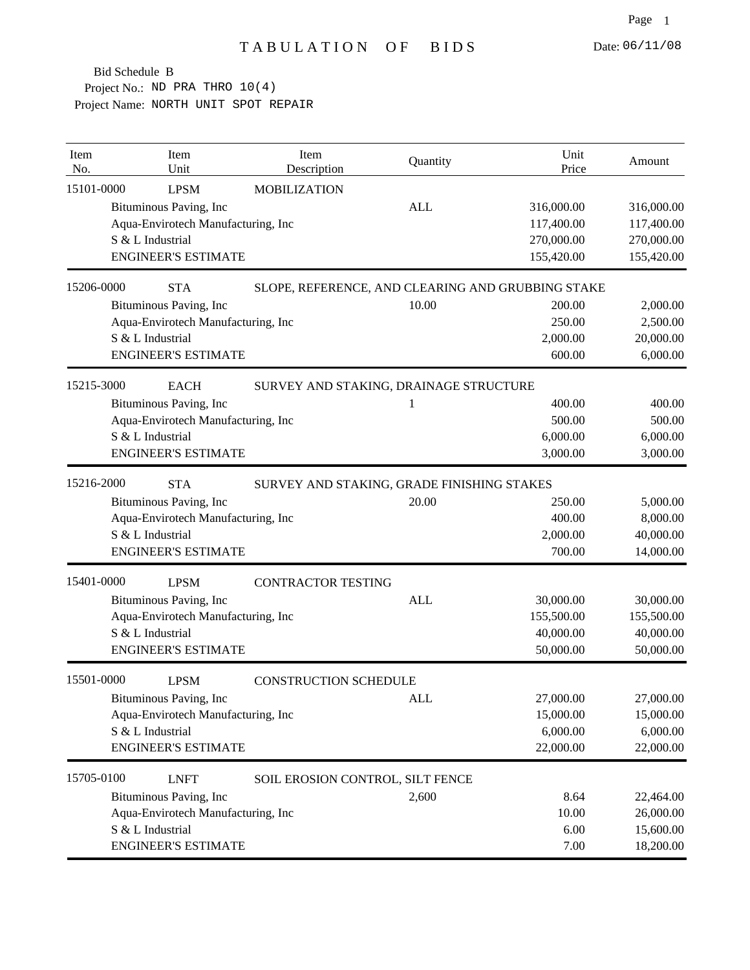| Item<br>No. | Item<br>Unit                       | Item<br>Description                               | Quantity   | Unit<br>Price | Amount     |
|-------------|------------------------------------|---------------------------------------------------|------------|---------------|------------|
| 15101-0000  | <b>LPSM</b>                        | <b>MOBILIZATION</b>                               |            |               |            |
|             | Bituminous Paving, Inc             |                                                   | <b>ALL</b> | 316,000.00    | 316,000.00 |
|             | Aqua-Envirotech Manufacturing, Inc |                                                   |            | 117,400.00    | 117,400.00 |
|             | S & L Industrial                   |                                                   |            | 270,000.00    | 270,000.00 |
|             | <b>ENGINEER'S ESTIMATE</b>         |                                                   |            | 155,420.00    | 155,420.00 |
| 15206-0000  | <b>STA</b>                         | SLOPE, REFERENCE, AND CLEARING AND GRUBBING STAKE |            |               |            |
|             | Bituminous Paving, Inc             |                                                   | 10.00      | 200.00        | 2,000.00   |
|             | Aqua-Envirotech Manufacturing, Inc |                                                   |            | 250.00        | 2,500.00   |
|             | S & L Industrial                   |                                                   |            | 2,000.00      | 20,000.00  |
|             | <b>ENGINEER'S ESTIMATE</b>         |                                                   |            | 600.00        | 6,000.00   |
| 15215-3000  | <b>EACH</b>                        | SURVEY AND STAKING, DRAINAGE STRUCTURE            |            |               |            |
|             | Bituminous Paving, Inc             |                                                   |            | 400.00        | 400.00     |
|             | Aqua-Envirotech Manufacturing, Inc |                                                   |            | 500.00        | 500.00     |
|             | S & L Industrial                   |                                                   |            | 6,000.00      | 6,000.00   |
|             | <b>ENGINEER'S ESTIMATE</b>         |                                                   |            | 3,000.00      | 3,000.00   |
| 15216-2000  | <b>STA</b>                         | SURVEY AND STAKING, GRADE FINISHING STAKES        |            |               |            |
|             | Bituminous Paving, Inc             |                                                   | 20.00      | 250.00        | 5,000.00   |
|             | Aqua-Envirotech Manufacturing, Inc |                                                   |            | 400.00        | 8,000.00   |
|             | S & L Industrial                   |                                                   |            | 2,000.00      | 40,000.00  |
|             | <b>ENGINEER'S ESTIMATE</b>         |                                                   |            | 700.00        | 14,000.00  |
| 15401-0000  | <b>LPSM</b>                        | <b>CONTRACTOR TESTING</b>                         |            |               |            |
|             | Bituminous Paving, Inc             |                                                   | <b>ALL</b> | 30,000.00     | 30,000.00  |
|             | Aqua-Envirotech Manufacturing, Inc |                                                   |            | 155,500.00    | 155,500.00 |
|             | S & L Industrial                   |                                                   |            | 40,000.00     | 40,000.00  |
|             | <b>ENGINEER'S ESTIMATE</b>         |                                                   |            | 50,000.00     | 50,000.00  |
| 15501-0000  | <b>LPSM</b>                        | <b>CONSTRUCTION SCHEDULE</b>                      |            |               |            |
|             | Bituminous Paving, Inc             |                                                   | ALL        | 27,000.00     | 27,000.00  |
|             | Aqua-Envirotech Manufacturing, Inc |                                                   |            | 15,000.00     | 15,000.00  |
|             | S & L Industrial                   |                                                   |            | 6,000.00      | 6,000.00   |
|             | <b>ENGINEER'S ESTIMATE</b>         |                                                   |            | 22,000.00     | 22,000.00  |
| 15705-0100  | <b>LNFT</b>                        | SOIL EROSION CONTROL, SILT FENCE                  |            |               |            |
|             | Bituminous Paving, Inc             |                                                   | 2,600      | 8.64          | 22,464.00  |
|             | Aqua-Envirotech Manufacturing, Inc |                                                   |            | 10.00         | 26,000.00  |
|             | S & L Industrial                   |                                                   |            | 6.00          | 15,600.00  |
|             | <b>ENGINEER'S ESTIMATE</b>         |                                                   |            | 7.00          | 18,200.00  |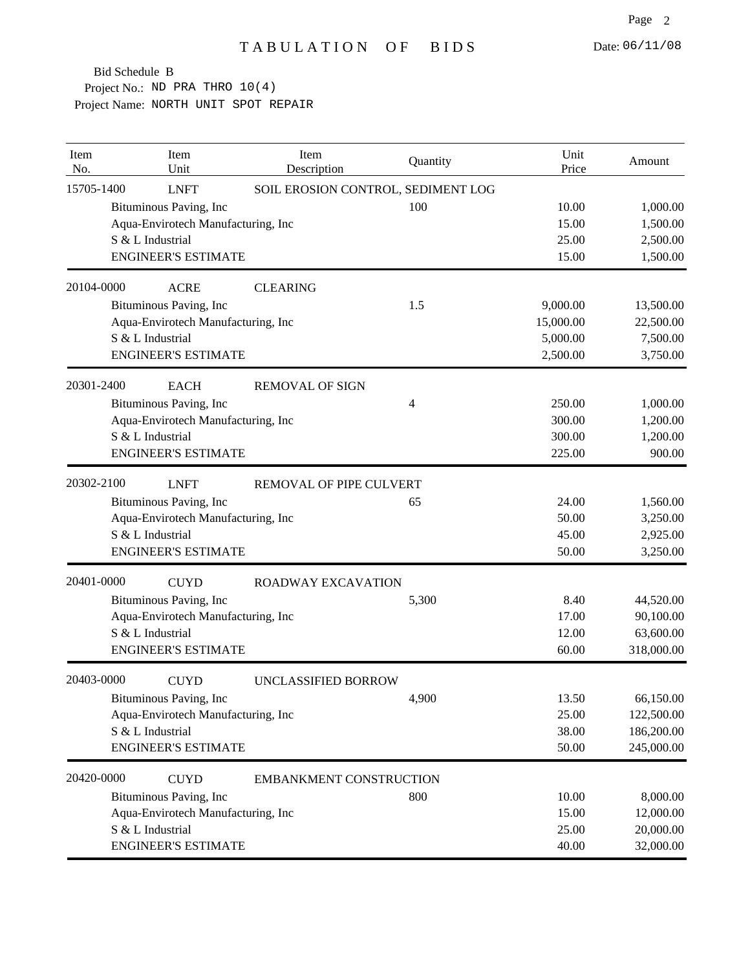| Item<br>No. |                        | Item<br>Unit                       | Item<br>Description            | Quantity                           | Unit<br>Price | Amount     |
|-------------|------------------------|------------------------------------|--------------------------------|------------------------------------|---------------|------------|
| 15705-1400  |                        | <b>LNFT</b>                        |                                | SOIL EROSION CONTROL, SEDIMENT LOG |               |            |
|             | Bituminous Paving, Inc |                                    |                                | 100                                | 10.00         | 1,000.00   |
|             |                        | Aqua-Envirotech Manufacturing, Inc |                                |                                    | 15.00         | 1,500.00   |
|             | S & L Industrial       |                                    |                                |                                    | 25.00         | 2,500.00   |
|             |                        | <b>ENGINEER'S ESTIMATE</b>         |                                |                                    | 15.00         | 1,500.00   |
| 20104-0000  |                        | <b>ACRE</b>                        | <b>CLEARING</b>                |                                    |               |            |
|             | Bituminous Paving, Inc |                                    |                                | 1.5                                | 9,000.00      | 13,500.00  |
|             |                        | Aqua-Envirotech Manufacturing, Inc |                                |                                    | 15,000.00     | 22,500.00  |
|             | S & L Industrial       |                                    |                                |                                    | 5,000.00      | 7,500.00   |
|             |                        | <b>ENGINEER'S ESTIMATE</b>         |                                |                                    | 2,500.00      | 3,750.00   |
| 20301-2400  |                        | <b>EACH</b>                        | <b>REMOVAL OF SIGN</b>         |                                    |               |            |
|             | Bituminous Paving, Inc |                                    |                                | 4                                  | 250.00        | 1,000.00   |
|             |                        | Aqua-Envirotech Manufacturing, Inc |                                |                                    | 300.00        | 1,200.00   |
|             | S & L Industrial       |                                    |                                |                                    | 300.00        | 1,200.00   |
|             |                        | <b>ENGINEER'S ESTIMATE</b>         |                                |                                    | 225.00        | 900.00     |
| 20302-2100  |                        | <b>LNFT</b>                        | REMOVAL OF PIPE CULVERT        |                                    |               |            |
|             | Bituminous Paving, Inc |                                    |                                | 65                                 | 24.00         | 1,560.00   |
|             |                        | Aqua-Envirotech Manufacturing, Inc |                                |                                    | 50.00         | 3,250.00   |
|             | S & L Industrial       |                                    |                                |                                    | 45.00         | 2,925.00   |
|             |                        | <b>ENGINEER'S ESTIMATE</b>         |                                |                                    | 50.00         | 3,250.00   |
| 20401-0000  |                        | <b>CUYD</b>                        | <b>ROADWAY EXCAVATION</b>      |                                    |               |            |
|             | Bituminous Paving, Inc |                                    |                                | 5,300                              | 8.40          | 44,520.00  |
|             |                        | Aqua-Envirotech Manufacturing, Inc |                                |                                    | 17.00         | 90,100.00  |
|             | S & L Industrial       |                                    |                                |                                    | 12.00         | 63,600.00  |
|             |                        | <b>ENGINEER'S ESTIMATE</b>         |                                |                                    | 60.00         | 318,000.00 |
| 20403-0000  |                        | <b>CUYD</b>                        | <b>UNCLASSIFIED BORROW</b>     |                                    |               |            |
|             | Bituminous Paving, Inc |                                    |                                | 4,900                              | 13.50         | 66,150.00  |
|             |                        | Aqua-Envirotech Manufacturing, Inc |                                |                                    | 25.00         | 122,500.00 |
|             | S & L Industrial       |                                    |                                |                                    | 38.00         | 186,200.00 |
|             |                        | <b>ENGINEER'S ESTIMATE</b>         |                                |                                    | 50.00         | 245,000.00 |
| 20420-0000  |                        | <b>CUYD</b>                        | <b>EMBANKMENT CONSTRUCTION</b> |                                    |               |            |
|             | Bituminous Paving, Inc |                                    |                                | 800                                | 10.00         | 8,000.00   |
|             |                        | Aqua-Envirotech Manufacturing, Inc |                                |                                    | 15.00         | 12,000.00  |
|             | S & L Industrial       |                                    |                                |                                    | 25.00         | 20,000.00  |
|             |                        | <b>ENGINEER'S ESTIMATE</b>         |                                |                                    | 40.00         | 32,000.00  |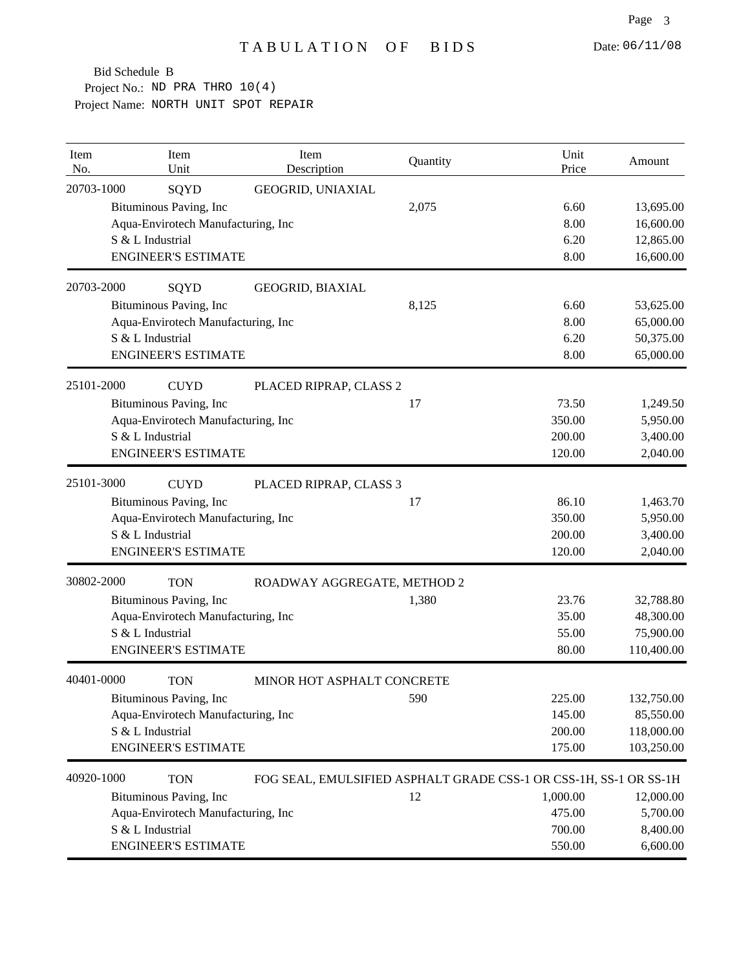| Item<br>No. | Item<br>Unit                       | Item<br>Description                                               | Quantity | Unit<br>Price | Amount     |
|-------------|------------------------------------|-------------------------------------------------------------------|----------|---------------|------------|
| 20703-1000  | SQYD                               | GEOGRID, UNIAXIAL                                                 |          |               |            |
|             | Bituminous Paving, Inc             |                                                                   | 2,075    | 6.60          | 13,695.00  |
|             | Aqua-Envirotech Manufacturing, Inc |                                                                   |          | 8.00          | 16,600.00  |
|             | S & L Industrial                   |                                                                   |          | 6.20          | 12,865.00  |
|             | <b>ENGINEER'S ESTIMATE</b>         |                                                                   |          | 8.00          | 16,600.00  |
| 20703-2000  | SQYD                               | GEOGRID, BIAXIAL                                                  |          |               |            |
|             | Bituminous Paving, Inc             |                                                                   | 8,125    | 6.60          | 53,625.00  |
|             | Aqua-Envirotech Manufacturing, Inc |                                                                   |          | 8.00          | 65,000.00  |
|             | S & L Industrial                   |                                                                   |          | 6.20          | 50,375.00  |
|             | <b>ENGINEER'S ESTIMATE</b>         |                                                                   |          | 8.00          | 65,000.00  |
| 25101-2000  | <b>CUYD</b>                        | PLACED RIPRAP, CLASS 2                                            |          |               |            |
|             | Bituminous Paving, Inc             |                                                                   | 17       | 73.50         | 1,249.50   |
|             | Aqua-Envirotech Manufacturing, Inc |                                                                   |          | 350.00        | 5,950.00   |
|             | S & L Industrial                   |                                                                   |          | 200.00        | 3,400.00   |
|             | <b>ENGINEER'S ESTIMATE</b>         |                                                                   |          | 120.00        | 2,040.00   |
| 25101-3000  | <b>CUYD</b>                        | PLACED RIPRAP, CLASS 3                                            |          |               |            |
|             | Bituminous Paving, Inc             |                                                                   | 17       | 86.10         | 1,463.70   |
|             | Aqua-Envirotech Manufacturing, Inc |                                                                   |          | 350.00        | 5,950.00   |
|             | S & L Industrial                   |                                                                   |          | 200.00        | 3,400.00   |
|             | <b>ENGINEER'S ESTIMATE</b>         |                                                                   |          | 120.00        | 2,040.00   |
| 30802-2000  | <b>TON</b>                         | ROADWAY AGGREGATE, METHOD 2                                       |          |               |            |
|             | Bituminous Paving, Inc             |                                                                   | 1,380    | 23.76         | 32,788.80  |
|             | Aqua-Envirotech Manufacturing, Inc |                                                                   |          | 35.00         | 48,300.00  |
|             | S & L Industrial                   |                                                                   |          | 55.00         | 75,900.00  |
|             | <b>ENGINEER'S ESTIMATE</b>         |                                                                   |          | 80.00         | 110,400.00 |
| 40401-0000  | <b>TON</b>                         | MINOR HOT ASPHALT CONCRETE                                        |          |               |            |
|             | Bituminous Paving, Inc             |                                                                   | 590      | 225.00        | 132,750.00 |
|             | Aqua-Envirotech Manufacturing, Inc |                                                                   |          | 145.00        | 85,550.00  |
|             | S & L Industrial                   |                                                                   |          | 200.00        | 118,000.00 |
|             | <b>ENGINEER'S ESTIMATE</b>         |                                                                   |          | 175.00        | 103,250.00 |
| 40920-1000  | <b>TON</b>                         | FOG SEAL, EMULSIFIED ASPHALT GRADE CSS-1 OR CSS-1H, SS-1 OR SS-1H |          |               |            |
|             | Bituminous Paving, Inc             |                                                                   | 12       | 1,000.00      | 12,000.00  |
|             | Aqua-Envirotech Manufacturing, Inc |                                                                   |          | 475.00        | 5,700.00   |
|             | S & L Industrial                   |                                                                   |          | 700.00        | 8,400.00   |
|             | <b>ENGINEER'S ESTIMATE</b>         |                                                                   |          | 550.00        | 6,600.00   |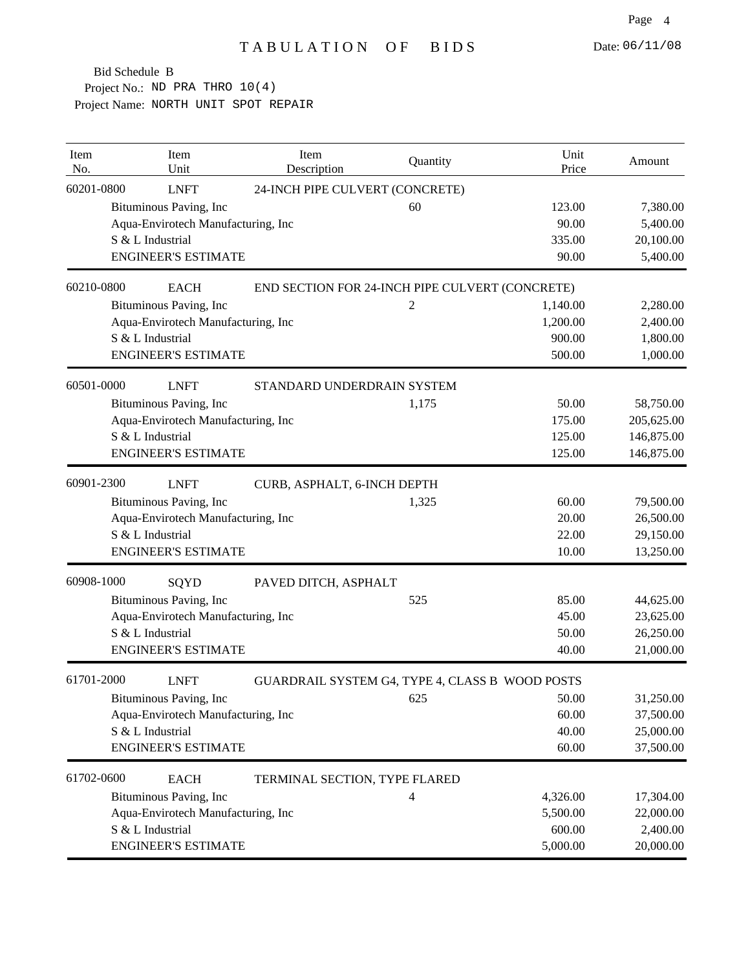| Item<br>No. | Item<br>Unit                       | Item<br>Description             | Quantity                                        | Unit<br>Price | Amount     |
|-------------|------------------------------------|---------------------------------|-------------------------------------------------|---------------|------------|
| 60201-0800  | <b>LNFT</b>                        | 24-INCH PIPE CULVERT (CONCRETE) |                                                 |               |            |
|             | Bituminous Paving, Inc             |                                 | 60                                              | 123.00        | 7,380.00   |
|             | Aqua-Envirotech Manufacturing, Inc |                                 |                                                 | 90.00         | 5,400.00   |
|             | S & L Industrial                   |                                 |                                                 | 335.00        | 20,100.00  |
|             | <b>ENGINEER'S ESTIMATE</b>         |                                 |                                                 | 90.00         | 5,400.00   |
| 60210-0800  | <b>EACH</b>                        |                                 | END SECTION FOR 24-INCH PIPE CULVERT (CONCRETE) |               |            |
|             | Bituminous Paving, Inc             |                                 | $\overline{c}$                                  | 1,140.00      | 2,280.00   |
|             | Aqua-Envirotech Manufacturing, Inc |                                 |                                                 | 1,200.00      | 2,400.00   |
|             | S & L Industrial                   |                                 |                                                 | 900.00        | 1,800.00   |
|             | <b>ENGINEER'S ESTIMATE</b>         |                                 |                                                 | 500.00        | 1,000.00   |
| 60501-0000  | <b>LNFT</b>                        | STANDARD UNDERDRAIN SYSTEM      |                                                 |               |            |
|             | Bituminous Paving, Inc             |                                 | 1,175                                           | 50.00         | 58,750.00  |
|             | Aqua-Envirotech Manufacturing, Inc |                                 |                                                 | 175.00        | 205,625.00 |
|             | S & L Industrial                   |                                 |                                                 | 125.00        | 146,875.00 |
|             | <b>ENGINEER'S ESTIMATE</b>         |                                 |                                                 | 125.00        | 146,875.00 |
| 60901-2300  | <b>LNFT</b>                        | CURB, ASPHALT, 6-INCH DEPTH     |                                                 |               |            |
|             | Bituminous Paving, Inc             |                                 | 1,325                                           | 60.00         | 79,500.00  |
|             | Aqua-Envirotech Manufacturing, Inc |                                 |                                                 | 20.00         | 26,500.00  |
|             | S & L Industrial                   |                                 |                                                 | 22.00         | 29,150.00  |
|             | <b>ENGINEER'S ESTIMATE</b>         |                                 |                                                 | 10.00         | 13,250.00  |
| 60908-1000  | SQYD                               | PAVED DITCH, ASPHALT            |                                                 |               |            |
|             | Bituminous Paving, Inc             |                                 | 525                                             | 85.00         | 44,625.00  |
|             | Aqua-Envirotech Manufacturing, Inc |                                 |                                                 | 45.00         | 23,625.00  |
|             | S & L Industrial                   |                                 |                                                 | 50.00         | 26,250.00  |
|             | <b>ENGINEER'S ESTIMATE</b>         |                                 |                                                 | 40.00         | 21,000.00  |
| 61701-2000  | <b>LNFT</b>                        |                                 | GUARDRAIL SYSTEM G4, TYPE 4, CLASS B WOOD POSTS |               |            |
|             | Bituminous Paving, Inc             |                                 | 625                                             | 50.00         | 31,250.00  |
|             | Aqua-Envirotech Manufacturing, Inc |                                 |                                                 | 60.00         | 37,500.00  |
|             | S & L Industrial                   |                                 |                                                 | 40.00         | 25,000.00  |
|             | <b>ENGINEER'S ESTIMATE</b>         |                                 |                                                 | 60.00         | 37,500.00  |
| 61702-0600  | <b>EACH</b>                        | TERMINAL SECTION, TYPE FLARED   |                                                 |               |            |
|             | Bituminous Paving, Inc             |                                 | 4                                               | 4,326.00      | 17,304.00  |
|             | Aqua-Envirotech Manufacturing, Inc |                                 |                                                 | 5,500.00      | 22,000.00  |
|             | S & L Industrial                   |                                 |                                                 | 600.00        | 2,400.00   |
|             | <b>ENGINEER'S ESTIMATE</b>         |                                 |                                                 | 5,000.00      | 20,000.00  |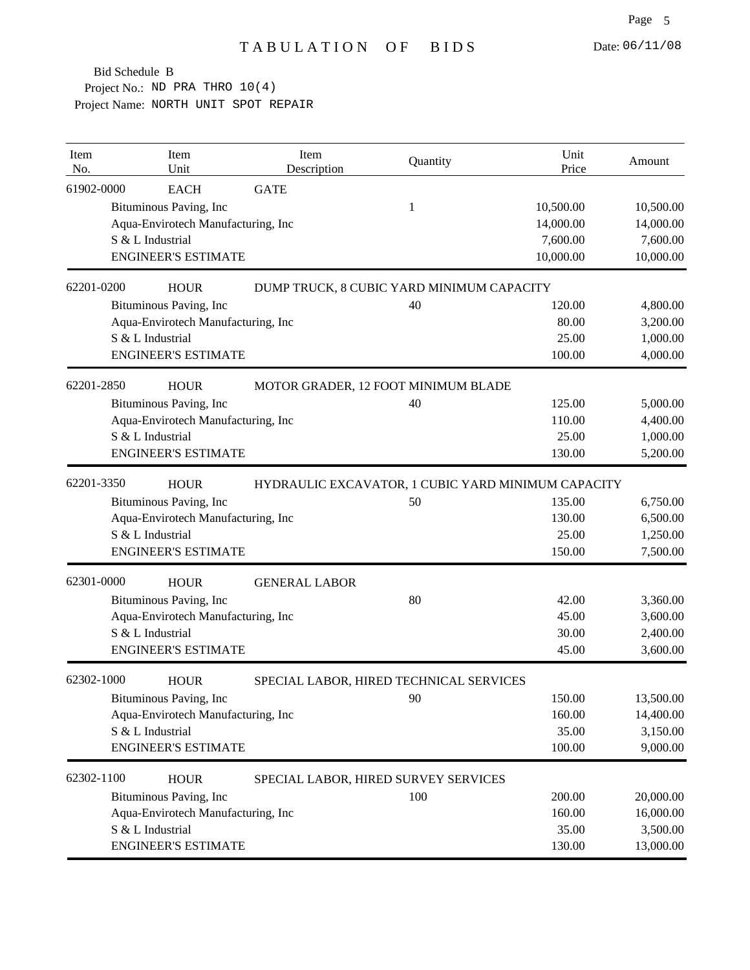| Item<br>No. | Item<br>Unit                       | Item<br>Description                       | Quantity | Unit<br>Price                                      | Amount    |
|-------------|------------------------------------|-------------------------------------------|----------|----------------------------------------------------|-----------|
| 61902-0000  | <b>EACH</b>                        | <b>GATE</b>                               |          |                                                    |           |
|             | Bituminous Paving, Inc             |                                           | 1        | 10,500.00                                          | 10,500.00 |
|             | Aqua-Envirotech Manufacturing, Inc |                                           |          | 14,000.00                                          | 14,000.00 |
|             | S & L Industrial                   |                                           |          | 7,600.00                                           | 7,600.00  |
|             | <b>ENGINEER'S ESTIMATE</b>         |                                           |          | 10,000.00                                          | 10,000.00 |
| 62201-0200  | <b>HOUR</b>                        | DUMP TRUCK, 8 CUBIC YARD MINIMUM CAPACITY |          |                                                    |           |
|             | Bituminous Paving, Inc             |                                           | 40       | 120.00                                             | 4,800.00  |
|             | Aqua-Envirotech Manufacturing, Inc |                                           |          | 80.00                                              | 3,200.00  |
|             | S & L Industrial                   |                                           |          | 25.00                                              | 1,000.00  |
|             | <b>ENGINEER'S ESTIMATE</b>         |                                           |          | 100.00                                             | 4,000.00  |
| 62201-2850  | <b>HOUR</b>                        | MOTOR GRADER, 12 FOOT MINIMUM BLADE       |          |                                                    |           |
|             | Bituminous Paving, Inc             |                                           | 40       | 125.00                                             | 5,000.00  |
|             | Aqua-Envirotech Manufacturing, Inc |                                           |          | 110.00                                             | 4,400.00  |
|             | S & L Industrial                   |                                           |          | 25.00                                              | 1,000.00  |
|             | <b>ENGINEER'S ESTIMATE</b>         |                                           |          | 130.00                                             | 5,200.00  |
| 62201-3350  | <b>HOUR</b>                        |                                           |          | HYDRAULIC EXCAVATOR, 1 CUBIC YARD MINIMUM CAPACITY |           |
|             | Bituminous Paving, Inc             |                                           | 50       | 135.00                                             | 6,750.00  |
|             | Aqua-Envirotech Manufacturing, Inc |                                           |          | 130.00                                             | 6,500.00  |
|             | S & L Industrial                   |                                           |          | 25.00                                              | 1,250.00  |
|             | <b>ENGINEER'S ESTIMATE</b>         |                                           |          | 150.00                                             | 7,500.00  |
| 62301-0000  | <b>HOUR</b>                        | <b>GENERAL LABOR</b>                      |          |                                                    |           |
|             | Bituminous Paving, Inc             |                                           | 80       | 42.00                                              | 3,360.00  |
|             | Aqua-Envirotech Manufacturing, Inc |                                           |          | 45.00                                              | 3,600.00  |
|             | S & L Industrial                   |                                           |          | 30.00                                              | 2,400.00  |
|             | <b>ENGINEER'S ESTIMATE</b>         |                                           |          | 45.00                                              | 3,600.00  |
| 62302-1000  | <b>HOUR</b>                        | SPECIAL LABOR, HIRED TECHNICAL SERVICES   |          |                                                    |           |
|             | Bituminous Paving, Inc             |                                           | 90       | 150.00                                             | 13,500.00 |
|             | Aqua-Envirotech Manufacturing, Inc |                                           |          | 160.00                                             | 14,400.00 |
|             | S & L Industrial                   |                                           |          | 35.00                                              | 3,150.00  |
|             | <b>ENGINEER'S ESTIMATE</b>         |                                           |          | 100.00                                             | 9,000.00  |
| 62302-1100  | <b>HOUR</b>                        | SPECIAL LABOR, HIRED SURVEY SERVICES      |          |                                                    |           |
|             | Bituminous Paving, Inc             |                                           | 100      | 200.00                                             | 20,000.00 |
|             | Aqua-Envirotech Manufacturing, Inc |                                           |          | 160.00                                             | 16,000.00 |
|             | S & L Industrial                   |                                           |          | 35.00                                              | 3,500.00  |
|             | <b>ENGINEER'S ESTIMATE</b>         |                                           |          | 130.00                                             | 13,000.00 |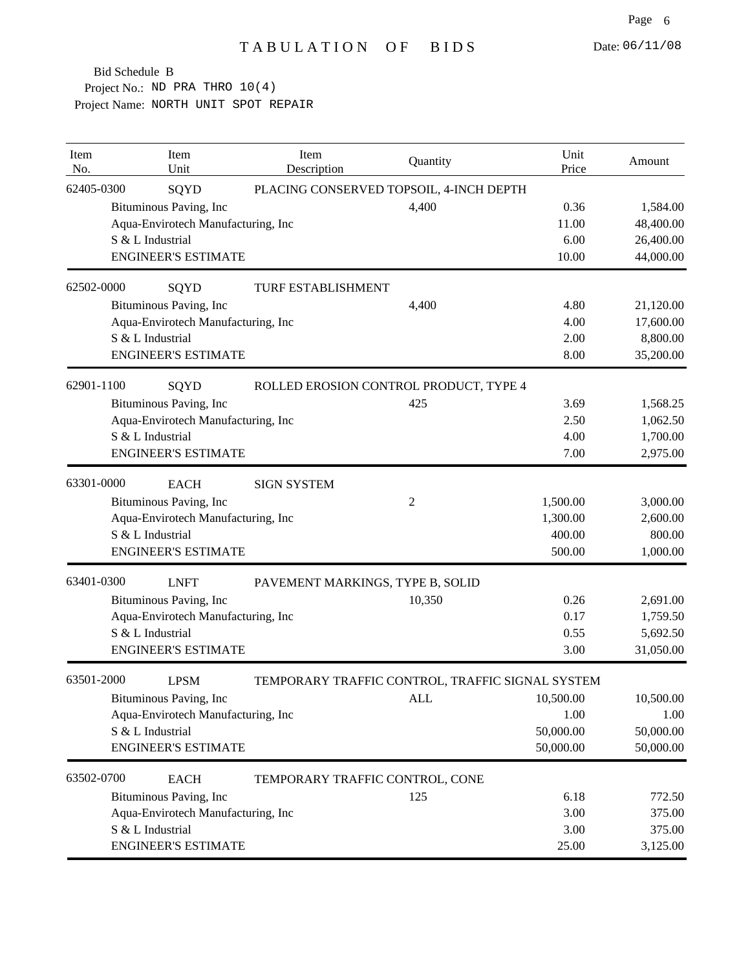| Item<br>No. | Item<br>Unit                       | Item<br>Description              | Quantity                                         | Unit<br>Price | Amount    |
|-------------|------------------------------------|----------------------------------|--------------------------------------------------|---------------|-----------|
| 62405-0300  | SQYD                               |                                  | PLACING CONSERVED TOPSOIL, 4-INCH DEPTH          |               |           |
|             | Bituminous Paving, Inc             |                                  | 4,400                                            | 0.36          | 1,584.00  |
|             | Aqua-Envirotech Manufacturing, Inc |                                  |                                                  | 11.00         | 48,400.00 |
|             | S & L Industrial                   |                                  |                                                  | 6.00          | 26,400.00 |
|             | <b>ENGINEER'S ESTIMATE</b>         |                                  |                                                  | 10.00         | 44,000.00 |
| 62502-0000  | SQYD                               | TURF ESTABLISHMENT               |                                                  |               |           |
|             | Bituminous Paving, Inc             |                                  | 4,400                                            | 4.80          | 21,120.00 |
|             | Aqua-Envirotech Manufacturing, Inc |                                  |                                                  | 4.00          | 17,600.00 |
|             | S & L Industrial                   |                                  |                                                  | 2.00          | 8,800.00  |
|             | <b>ENGINEER'S ESTIMATE</b>         |                                  |                                                  | 8.00          | 35,200.00 |
| 62901-1100  | SQYD                               |                                  | ROLLED EROSION CONTROL PRODUCT, TYPE 4           |               |           |
|             | Bituminous Paving, Inc             |                                  | 425                                              | 3.69          | 1,568.25  |
|             | Aqua-Envirotech Manufacturing, Inc |                                  |                                                  | 2.50          | 1,062.50  |
|             | S & L Industrial                   |                                  |                                                  | 4.00          | 1,700.00  |
|             | <b>ENGINEER'S ESTIMATE</b>         |                                  |                                                  | 7.00          | 2,975.00  |
| 63301-0000  | <b>EACH</b>                        | <b>SIGN SYSTEM</b>               |                                                  |               |           |
|             | Bituminous Paving, Inc             |                                  | $\overline{c}$                                   | 1,500.00      | 3,000.00  |
|             | Aqua-Envirotech Manufacturing, Inc |                                  |                                                  | 1,300.00      | 2,600.00  |
|             | S & L Industrial                   |                                  |                                                  | 400.00        | 800.00    |
|             | <b>ENGINEER'S ESTIMATE</b>         |                                  |                                                  | 500.00        | 1,000.00  |
| 63401-0300  | <b>LNFT</b>                        | PAVEMENT MARKINGS, TYPE B, SOLID |                                                  |               |           |
|             | Bituminous Paving, Inc             |                                  | 10,350                                           | 0.26          | 2,691.00  |
|             | Aqua-Envirotech Manufacturing, Inc |                                  |                                                  | 0.17          | 1,759.50  |
|             | S & L Industrial                   |                                  |                                                  | 0.55          | 5,692.50  |
|             | <b>ENGINEER'S ESTIMATE</b>         |                                  |                                                  | 3.00          | 31,050.00 |
| 63501-2000  | <b>LPSM</b>                        |                                  | TEMPORARY TRAFFIC CONTROL, TRAFFIC SIGNAL SYSTEM |               |           |
|             | Bituminous Paving, Inc             |                                  | <b>ALL</b>                                       | 10,500.00     | 10,500.00 |
|             | Aqua-Envirotech Manufacturing, Inc |                                  |                                                  | 1.00          | 1.00      |
|             | S & L Industrial                   |                                  |                                                  | 50,000.00     | 50,000.00 |
|             | <b>ENGINEER'S ESTIMATE</b>         |                                  |                                                  | 50,000.00     | 50,000.00 |
| 63502-0700  | <b>EACH</b>                        | TEMPORARY TRAFFIC CONTROL, CONE  |                                                  |               |           |
|             | Bituminous Paving, Inc             |                                  | 125                                              | 6.18          | 772.50    |
|             | Aqua-Envirotech Manufacturing, Inc |                                  |                                                  | 3.00          | 375.00    |
|             | S & L Industrial                   |                                  |                                                  | 3.00          | 375.00    |
|             | <b>ENGINEER'S ESTIMATE</b>         |                                  |                                                  | 25.00         | 3,125.00  |